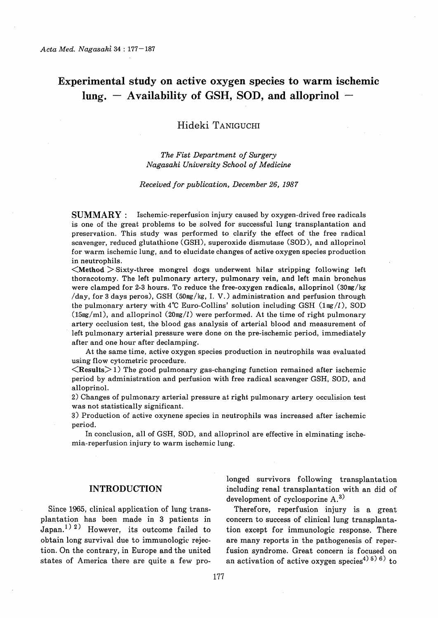# Experimental study on active oxygen species to warm ischemic  $lung. - Availableility of GSH, SOD, and alloprinol -$

# Hideki TANIGUCHI

## The Fist Department of Surgery Nagasaki University School of Medicine

#### Received for publication, December 26, 1987

SUMMARY : Ischemic-reperfusion injury caused by oxygen-drived free radicals is one of the great problems to be solved for successful lung transplantation and preservation. This study was performed to clarify the effect of the free radical scavenger, reduced glutathione (GSH), superoxide dismutase (SOD), and alloprinol for warm ischemic lung, and to elucidate changes of active oxygen species production in neutrophils.

 $\leq$ Method  $>$  Sixty-three mongrel dogs underwent hilar stripping following left thoracotomy. The left pulmonary artery, pulmonary vein, and left main bronchus were clamped for 2-3 hours. To reduce the free-oxygen radicals, alloprinol (30mg/kg /day, for 3 days peros), GSH (50mg/kg, I. V.) administration and perfusion through the pulmonary artery with  $4^{\circ}$ C Euro-Collins' solution including GSH (1mg/l), SOD  $(15mg/ml)$ , and alloprinol  $(20mg/l)$  were performed. At the time of right pulmonary artery occlusion test, the blood gas analysis of arterial blood and measurement of left pulmonary arterial pressure were done on the pre-ischemic period, immediately after and one hour after declamping.

At the same time, active oxygen species production in neutrophils was evaluated using flow cytometric procedure.

 $\leq$ Results $>$ 1) The good pulmonary gas-changing function remained after ischemic period by administration and perfusion with free radical scavenger GSH, SOD, and alloprinol.

2) Changes of pulmonary arterial pressure at right pulmonary artery occulision test was not statistically significant.

3) Production of active oxynene species in neutrophils was increased after ischemic period.

 In conclusion, all of GSH, SOD, and alloprinol are effective in elminating ischemia-reperfusion injury to warm ischemic lung.

# INTRODUCTION

Since 1965, clinical application of lung transplantation has been made in 3 patients in Japan.<sup>1) 2)</sup> However, its outcome failed to obtain long survival due to immunologic rejection. On the contrary, in Europe and the united states of America there are quite a few prolonged survivors following transplantation including renal transplantation with an did of development of cyclosporine A.3)

Therefore, reperfusion injury is a great concern to success of clinical lung transplantation except for immunologic response. There are many reports in the pathogenesis of reperfusion syndrome. Great concern is focused on an activation of active oxygen species<sup>4) 5)</sup> 6) to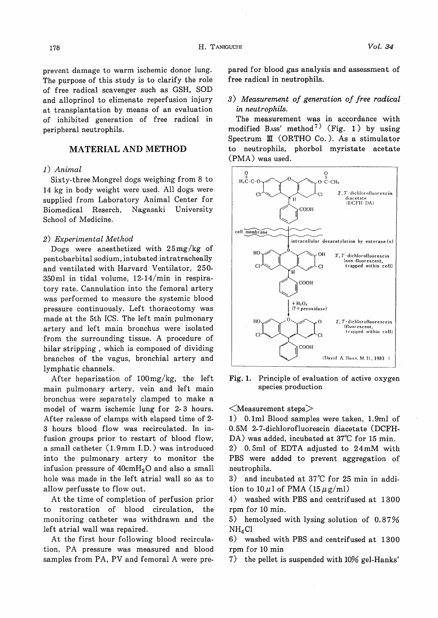prevent damage to warm ischemic donor lung. The purpose of this study is to clarify the role of free radical scavenger such as GSH, SOD and alloprinol to elimenate reperfusion injury at transplantation by means of an evaluation of inhibited generation of free radical in peripheral neutrophils.

# MATERIAL AND METHOD

## 1) Animal

Sixty-three Mongrel dogs weighing from 8 to 14 kg in body weight were used. All dogs were supplied from Laboratory Animal Center for Biomedical Reserch, Nagasaki University School of Medicine.

#### 2) Experimental Method

Dogs were anesthetized with 25mg/kg of pentobarbital sodium, intubated intratracheally and ventilated with Harvard Ventilator, 250- 350m1 in tidal volume, 12-14/min in respiratory rate. Cannulation into the femoral artery was performed to measure the systemic blood pressure continuously. Left thoracotomy was made at the 5th ICS. The left main pulmonary artery and left main bronchus were isolated from the surrounding tissue. A procedure of hilar stripping , which is composed of dividing branches of the vagus, bronchial artery and lymphatic channels.

After heparization of 100mg/kg, the left main pulmonary artery, vein and left main bronchus were separately clamped to make a model of warm ischemic lung for 2- 3 hours. After ralease of clamps with elapsed time of 2- 3 hours blood flow was recirculated. In infusion groups prior to restart of blood flow, a small catheter (1.9 mm I.D.) was introduced into the pulmonary artery to monitor the infusion pressure of  $40 \text{cm} H_2O$  and also a small hole was made in the left atrial wall so as to allow perfusate to flow out.

At the time of completion of perfusion prior to restoration of blood circulation, the monitoring catheter was withdrawn and the left atrial wall was repaired.

At the first hour following blood recirculation, PA pressure was measured and blood samples from PA, PV and femoral A were prepared for blood gas analysis and assessment of free radical in neutrophils.

#### 3) Measurement of generation of free radical in neutrophils.

The measurement was in accordance with modified Bass' method<sup>7)</sup> (Fig. 1) by using Spectrum III (ORTHO Co.). As a stimulator to neutrophils, phorbol myristate acetate (PMA) was used.



Fig. 1. Principle of evaluation of active oxygen species production

 $<$ Measurement steps $>$ 

1) 0.1ml Blood samples were taken, 1.9m1 of 0.5M 2-7-dichlorofluorescin diacetate (DCFH-DA) was added, incubated at 37°C for 15 min.

2) 0.5ml of EDTA adjusted to 24mM with PBS were added to prevent aggregation of neutrophils.

3) and incubated at 37°C for 25 min in addition to  $10 \mu$ l of PMA ( $15 \mu$ g/ml)

4) washed with PBS and centrifused at 1300 rpm for 10 min.

5) hemolysed with lysing solution of 0.87%  $NH<sub>4</sub>Cl$ 

6) washed with PBS and centrifused at 1300 rpm for 10 min

7) the pellet is suspended with 10% gel-Hanks'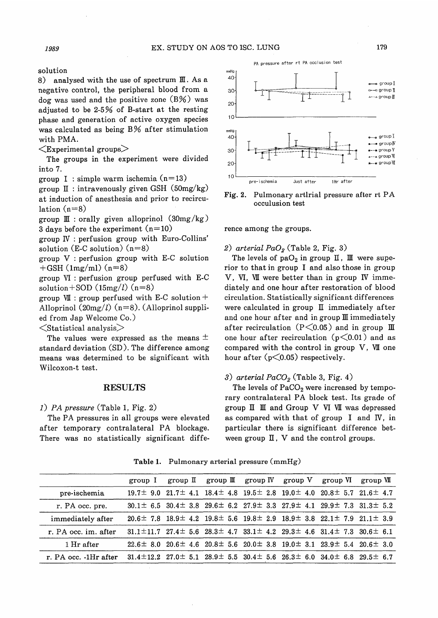solution

8) analysed with the use of spectrum III. As a negative control, the peripheral blood from a dog was used and the positive zone  $(B\%)$  was adjusted to be 2-5% of B-start at the resting phase and generation of active oxygen species was calculated as being B% after stimulation with PMA.

 $\leq$ Experimental groups $\geq$ 

The groups in the experiment were divided into 7.

group I : simple warm ischemia  $(n=13)$ 

group  $\mathbb{I}$  : intravenously given GSH (50mg/kg) at induction of anesthesia and prior to recirculation  $(n=8)$ 

group  $\mathbb{I}$  : orally given alloprinol (30mg/kg) 3 days before the experiment  $(n=10)$ 

group IV : perfusion group with Euro-Collins' solution (E-C solution)  $(n=8)$ 

group V : perfusion group with E-C solution  $+$ GSH (1mg/ml) (n=8)

group VI : perfusion group perfused with E-C solution + SOD  $(15mg/l)$  (n=8)

group  $VII$  : group perfused with E-C solution + Alloprinol  $(20mg/l)$  (n=8). (Alloprinol supplied from Jap Welcome Co.)

 $\leq$ Statistical analysis $>$ 

The values were expressed as the means  $\pm$ standard deviation (SD). The difference among means was determined to be significant with Wilcoxon-t test.

#### RESULTS

## 1) PA pressure (Table 1, Fig. 2)

The PA pressures in all groups were elevated after temporary contralateral PA blockage. There was no statistically significant diffe-



PA pressure after rt PA occlusion test

Fig. 2. Pulmonary artlrial pressure after rt PA occulusion test

rence among the groups.

2) arterial  $PaO<sub>2</sub>$  (Table 2, Fig. 3)

The levels of pa $O_2$  in group  $\mathbb I$ ,  $\mathbb I$  were superior to that in group I and also those in group V, VI, VII were better than in group IV immediately and one hour after restoration of blood circulation. Statistically significant differences were calculated in group  $I\!I$  immediately after and one hour after and in group  $I\!I\!I$  immediately after recirculation ( $P \le 0.05$ ) and in group III one hour after recirculation  $(p<0.01)$  and as compared with the control in group  $V$ ,  $VII$  one hour after  $(p<0.05)$  respectively.

#### 3) arterial  $PaCO<sub>2</sub>$  (Table 3, Fig. 4)

The levels of  $PaCO<sub>2</sub>$  were increased by temporary contralateral PA block test. Its grade of group  $\mathbb I$   $\mathbb I$  and Group  $V$  VI VII was depressed as compared with that of group I and IV, in particular there is significant difference between group  $\rm II$  ,  $\rm V$  and the control groups.

group I group II group II group IV group V group VI group VII pre-ischemia  $19.7 \pm 9.0$   $21.7 \pm 4.1$   $18.4 \pm 4.8$   $19.5 \pm 2.8$   $19.0 \pm 4.0$   $20.8 \pm 5.7$   $21.6 \pm 4.7$ r. PA occ. pre.  $30.1 \pm 6.5$   $30.4 \pm 3.8$   $29.6 \pm 6.2$   $27.9 \pm 3.3$   $27.9 \pm 4.1$   $29.9 \pm 7.3$   $31.3 \pm 5.2$ immediately after  $20.6 \pm 7.8$  18.9 $\pm$  4.2 19.8 $\pm$  5.6 19.8 $\pm$  2.9 18.9 $\pm$  3.8 22.1 $\pm$  7.9 21.1 $\pm$  3.9 r. PA occ. im. after  $31.1 \pm 11.7$   $27.4 \pm 5.6$   $28.3 \pm 4.7$   $33.1 \pm 4.2$   $29.3 \pm 4.6$   $31.4 \pm 7.3$   $30.6 \pm 6.1$ 1 Hr after 22.6± 8.0 20.6± 4.6 20.8± 5.6 20.0± 3.8 19.0± 3.1 23.9± 5.4 20.6± 3.0 r. PA occ. -1Hr after 31.4±12.2 27.0± 5.1 28.9± 5.5 30.4± 5.6 26.3± 6.0 34.0± 6.8 29.5± 6.7

Table 1. Pulmonary arterial pressure (mmHg)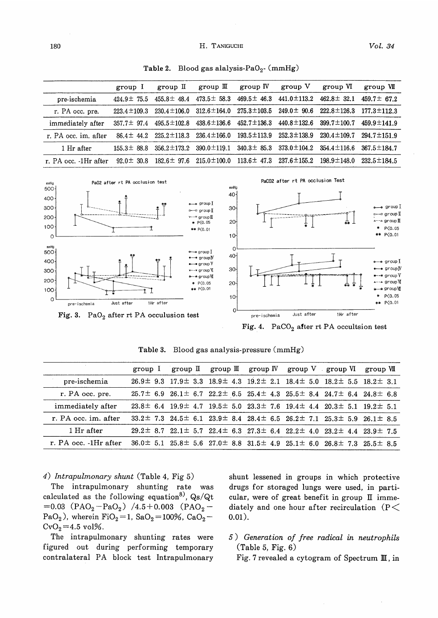Vol. 34

| $_{\rm group}$ I                                                            | $_{\rm group}$ II | group $\mathbb{I}$ | $_{\rm group}$ $_{\rm IV}$ | $_{\rm group}$ V                    |                   |                                                                                                                                                                                                                                                                                                                                                            |
|-----------------------------------------------------------------------------|-------------------|--------------------|----------------------------|-------------------------------------|-------------------|------------------------------------------------------------------------------------------------------------------------------------------------------------------------------------------------------------------------------------------------------------------------------------------------------------------------------------------------------------|
|                                                                             |                   |                    |                            |                                     | group VI          | group VII                                                                                                                                                                                                                                                                                                                                                  |
|                                                                             | $455.8 \pm 48.4$  |                    |                            |                                     | $462.8 \pm 32.1$  | $459.7 \pm 67.2$                                                                                                                                                                                                                                                                                                                                           |
| $223.4 \pm 109.3$                                                           | $230.4 \pm 106.0$ |                    |                            |                                     |                   | $177.3 \pm 112.3$                                                                                                                                                                                                                                                                                                                                          |
| $357.7 \pm 97.4$                                                            | $495.5 \pm 102.8$ |                    |                            |                                     | $399.7 \pm 100.7$ | $459.9 \pm 141.9$                                                                                                                                                                                                                                                                                                                                          |
| $86.4 \pm 44.2$                                                             | $225.2 \pm 118.3$ | $236.4 \pm 166.0$  | $193.5 \pm 113.9$          | $252.3 \pm 138.9$                   | $230.4 \pm 109.7$ | $294.7 \pm 151.9$                                                                                                                                                                                                                                                                                                                                          |
|                                                                             |                   |                    |                            |                                     |                   | $367.5 \pm 184.7$                                                                                                                                                                                                                                                                                                                                          |
| $92.0 \pm 30.8$                                                             |                   |                    |                            |                                     |                   | $232.5 \pm 184.5$                                                                                                                                                                                                                                                                                                                                          |
| PaCO2 after rt PA occlusion Test<br>Pa02 after rt PA occlusion test<br>mmHg |                   |                    |                            |                                     |                   |                                                                                                                                                                                                                                                                                                                                                            |
|                                                                             | $424.9 \pm 75.5$  |                    |                            | $438.6 \pm 136.6$ $452.7 \pm 136.3$ |                   | $473.5 \pm 58.3$ $469.5 \pm 46.3$ $441.0 \pm 113.2$<br>$312.6 \pm 164.0$ $275.3 \pm 103.5$ $249.0 \pm 90.6$ $222.8 \pm 126.3$<br>$440.8 \pm 132.6$<br>$155.3 \pm 88.8$ $356.2 \pm 173.2$ $390.0 \pm 119.1$ $340.3 \pm 85.3$ $373.0 \pm 104.2$ $354.4 \pm 116.6$<br>$182.6 \pm 97.6$ $215.0 \pm 100.0$ $113.6 \pm 47.3$ $237.6 \pm 155.2$ $198.9 \pm 148.0$ |

Table 2. Blood gas alalysis-PaO<sub>2</sub>- (mmHg)



Fig. 4. PaCO<sub>2</sub> after rt PA occultsion test

|                       |  |  | group I group II group II group IV group V group VI group VII                                            |  |
|-----------------------|--|--|----------------------------------------------------------------------------------------------------------|--|
| pre-ischemia          |  |  | $26.9\pm$ 9.3 $17.9\pm$ 3.3 $18.9\pm$ 4.3 $19.2\pm$ 2.1 $18.4\pm$ 5.0 $18.2\pm$ 5.5 $18.2\pm$ 3.1        |  |
| r. PA occ. pre.       |  |  | $25.7\pm$ 6.9 $26.1\pm$ 6.7 $22.2\pm$ 6.5 $25.4\pm$ 4.3 $25.5\pm$ 8.4 $24.7\pm$ 6.4 $24.8\pm$ 6.8        |  |
| immediately after     |  |  | $23.8\pm$ 6.4 19.9 $\pm$ 4.7 19.5 $\pm$ 5.0 23.3 $\pm$ 7.6 19.4 $\pm$ 4.4 20.3 $\pm$ 5.1 19.2 $\pm$ 5.1  |  |
| r. PA occ. im. after  |  |  | $33.2 \pm 7.3$ $24.5 \pm 6.1$ $23.9 \pm 8.4$ $28.4 \pm 6.5$ $26.2 \pm 7.1$ $25.3 \pm 5.9$ $26.1 \pm 8.5$ |  |
| 1 Hr after            |  |  | $29.2 \pm 8.7$ $22.1 \pm 5.7$ $22.4 \pm 6.3$ $27.3 \pm 6.4$ $22.2 \pm 4.0$ $23.2 \pm 4.4$ $23.9 \pm 7.5$ |  |
| r. PA occ. -1Hr after |  |  | $36.0 \pm 5.1$ $25.8 \pm 5.6$ $27.0 \pm 8.8$ $31.5 \pm 4.9$ $25.1 \pm 6.0$ $26.8 \pm 7.3$ $25.5 \pm 8.5$ |  |

Table 3. Blood gas analysis-pressure (mmHg)

4) Intrapulmonary shunt (Table 4, Fig 5)

The intrapulmonary shunting rate was calculated as the following equation<sup>8)</sup>,  $Qs/Qt$  $=0.03$  (PAO<sub>2</sub> - PaO<sub>2</sub>) /4.5 + 0.003 (PAO<sub>2</sub> -PaO<sub>2</sub>), wherein FiO<sub>2</sub>=1, SaO<sub>2</sub>=100%, CaO<sub>2</sub>- $CvO<sub>2</sub> = 4.5 vol\%.$ 

The intrapulmonary shunting rates were figured out during performing temporary contralateral PA block test Intrapulmonary

shunt lessened in groups in which protective drugs for storaged lungs were used, in particular, were of great benefit in group  $II$  immediately and one hour after recirculation (P $<$  $0.01$ ).

5) Generation of free radical in neutrophils (Table 5, Fig. 6)

Fig. 7 revealed a cytogram of Spectrum III, in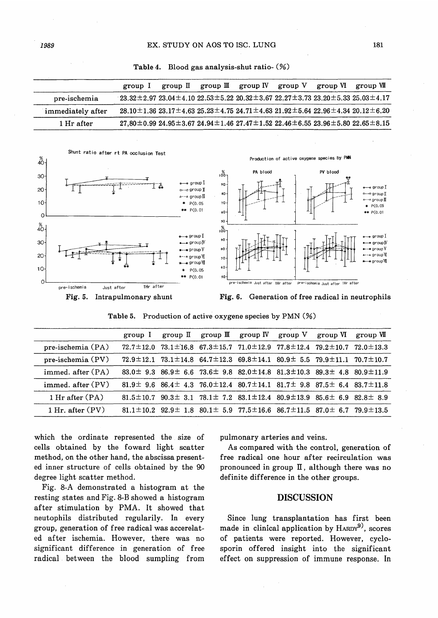Table 4. Blood gas analysis-shut ratio- (%)

|                   | group 1                                                                                                                 | group II | group $III$ group $IV$ group $V$ group $VI$ group $VII$                                                                |  |  |
|-------------------|-------------------------------------------------------------------------------------------------------------------------|----------|------------------------------------------------------------------------------------------------------------------------|--|--|
| pre-ischemia      | $-23.32 \pm 2.97$ 23.04 $\pm$ 4.10 22.53 $\pm$ 5.22 20.32 $\pm$ 3.67 22.27 $\pm$ 3.73 23.20 $\pm$ 5.33 25.03 $\pm$ 4.17 |          |                                                                                                                        |  |  |
| immediately after |                                                                                                                         |          | $28.10 \pm 1.36$ $23.17 \pm 4.63$ $25.23 \pm 4.75$ $24.71 \pm 4.63$ $21.92 \pm 5.64$ $22.96 \pm 4.34$ $20.12 \pm 6.20$ |  |  |
| 1 Hr after        |                                                                                                                         |          | $27.80 \pm 0.99$ $24.95 \pm 3.67$ $24.94 \pm 1.46$ $27.47 \pm 1.52$ $22.46 \pm 6.55$ $23.96 \pm 5.80$ $22.65 \pm 8.15$ |  |  |





Table 5. Production of active oxygene species by PMN (%)

|                      |  |  | group I group II group II group IV group V group VI group VI                                                    |  |
|----------------------|--|--|-----------------------------------------------------------------------------------------------------------------|--|
| pre-ischemia (PA)    |  |  | $72.7 \pm 12.0$ $73.1 \pm 16.8$ $67.3 \pm 15.7$ $71.0 \pm 12.9$ $77.8 \pm 12.4$ $79.2 \pm 10.7$ $72.0 \pm 13.3$ |  |
| pre-ischemia (PV)    |  |  | $72.9 \pm 12.1$ $73.1 \pm 14.8$ $64.7 \pm 12.3$ $69.8 \pm 14.1$ $80.9 \pm 5.5$ $79.9 \pm 11.1$ $70.7 \pm 10.7$  |  |
| immed. after $(PA)$  |  |  | $83.0 \pm 9.3$ $86.9 \pm 6.6$ $73.6 \pm 9.8$ $82.0 \pm 14.8$ $81.3 \pm 10.3$ $89.3 \pm 4.8$ $80.9 \pm 11.9$     |  |
| immed. after (PV)    |  |  | $81.9 \pm 9.6$ $86.4 \pm 4.3$ $76.0 \pm 12.4$ $80.7 \pm 14.1$ $81.7 \pm 9.8$ $87.5 \pm 6.4$ $83.7 \pm 11.8$     |  |
| 1 Hr after $(PA)$    |  |  | $81.5 \pm 10.7$ $90.3 \pm 3.1$ $78.1 \pm 7.2$ $83.1 \pm 12.4$ $80.9 \pm 13.9$ $85.6 \pm 6.9$ $82.8 \pm 8.9$     |  |
| $1$ Hr. after $(PV)$ |  |  | 81.1 $\pm$ 10.2 92.9 $\pm$ 1.8 80.1 $\pm$ 5.9 77.5 $\pm$ 16.6 86.7 $\pm$ 11.5 87.0 $\pm$ 6.7 79.9 $\pm$ 13.5    |  |

which the ordinate represented the. size of cells obtained by the foward light scatter method, on the other hand, the abscissa presented inner structure of cells obtained by the 90 degree light scatter method.

Fig. 8-A demonstrated a histogram at the resting states and Fig. 8-B showed a histogram after stimulation by PMA. It showed that neutophils distributed regularily. In every group, generation of free radical was accerelated after ischemia. However, there was no significant difference in generation of free radical. between the blood sumpling from

pulmonary arteries and veins.

As compared with the control, generation of free radical one hour after recirculation was pronounced in group  $\mathbb I$ , although there was no definite difference in the other groups.

#### DISCUSSION

Since lung transplantation has first been made in clinical application by  $H_{ARDY}^{(9)}$ , scores of patients were reported. However, cyclosporin offered insight into the significant effect on suppression of immune response. In

181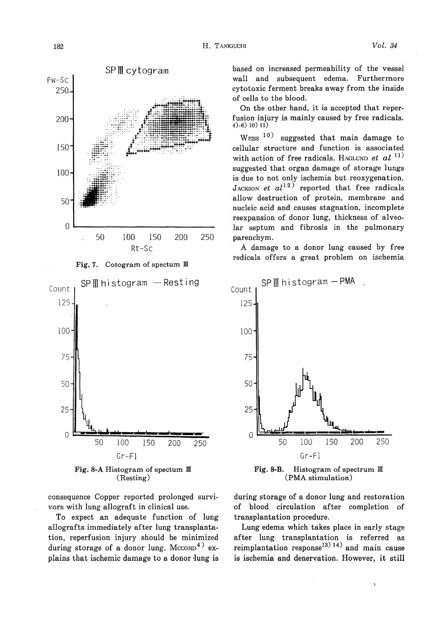







consequence Copper reported prolonged survivors with lung allograft in clinical use.

To expect an adequate function of lung allografts immediately after lung transplantation, reperfusion injury should be minimized during storage of a donor lung.  $Mc<sub>CD</sub><sup>4</sup>$  explains that ischemic damage to a donor lung is based on increased permeability of the vessel wall and subsequent edema. Furthermore cytotoxic ferment breaks away from the inside of cells to the blood.

On the other hand, it is accepted that reperfusion injury is mainly caused by free radicals. 4)-6) 10) 11)

WEISS<sup>10)</sup> suggested that main damage to cellular structure and function is associated with action of free radicals. HAGLUND et  $al$ <sup>11)</sup> suggested that organ damage of storage lungs is due to not only ischemia but reoxygenation. JACKSON et  $al^{12}$  reported that free radicals allow destruction of protein, membrane and nucleic acid and causes stagnation, incomplete reexpansion of donor lung, thickness of alveolar septum and fibrosis in the pulmonary parenchym.

A damage to a donor lung caused by free redicals offers a great problem on ischemia



Fig. 8-B. Histogram of spectrum  $\mathbb{I}$ (PMA stimulation)

during storage of a donor lung and restoration of blood circulation after completion of transplantation procedure.

Lung edema which takes place in early stage after lung transplantation is referred as reimplantation response<sup>13) 14)</sup> and main cause is ischemia and denervation. However, it still

į.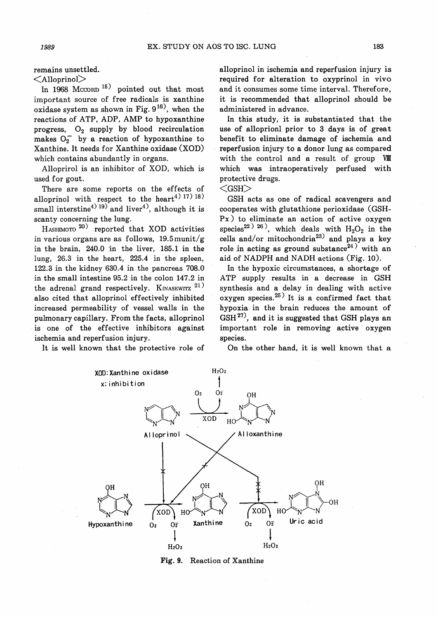remains unsettled.

 $\leq$ Alloprinol $>$ 

In 1968 Mccorn<sup>15</sup> pointed out that most important source of free radicals is xanthine oxidase system as shown in Fig.  $9^{16}$ , when the reactions of ATP, ADP, AMP to hypoxanthine progress,  $O_2$  supply by blood recirculation makes  $O_2$  by a reaction of hypoxanthine to Xanthine. It needs for Xanthine oxidase (XOD) which contains abundantly in organs.

Alloprirol is an inhibitor of XOD, which is used for gout.

There are some reports on the effects of alloprinol with respect to the heart<sup>4) 17</sup>) <sup>18</sup>) small interstine<sup>4) 19)</sup> and liver<sup>4)</sup>, although it is scanty concerning the lung.

HASHIMOTO<sup>20)</sup> reported that XOD activities in various organs are as follows, 19.5munit/g in the brain, 240.0 in the liver, 185.1 in the lung, 26.3 in the heart, 225.4 in the spleen, 122.3 in the kidney 630.4 in the pancreas 708.0 in the small intestine 95.2 in the colon 147.2 in the adrenal grand respectively. KINASEWITZ  $21$ ) also cited that alloprinol effectively inhibited increased permeability of vessel walls in the pulmonary capillary. From the facts, alloprinol is one of the effective inhibitors against ischemia and reperfusion injury.

It is well known that the protective role of

alloprinol in ischemia and reperfusion injury is required for alteration to oxyprinol in vivo and it consumes some time interval. Therefore, it is recommended that alloprinol should be administered in advance.

In this study, it is substantiated that the use of alloprionl prior to 3 days is of great benefit to eliminate damage of ischemia and reperfusion injury to a donor lung as compared with the control and a result of group VIII which was intraoperatively perfused with protective drugs.

 $<$ GSH $>$ 

GSH acts as one of radical scavengers and cooperates with glutathione perioxidase (GSH-Px) to eliminate an action of active oxygen species<sup>22) 26</sup>, which deals with  $H_2O_2$  in the cells and/or mitochondria<sup>23)</sup> and plays a key role in acting as ground substance<sup>24)</sup> with an aid of NADPH and NADH actions (Fig. 10).

In the hypoxic circumstances, a shortage of ATP supply results in a decrease in GSH synthesis and a delay in dealing with active oxygen species. $25$ <sup>)</sup> It is a confirmed fact that hypoxia in the brain reduces the amount of  $GSH^{27}$ , and it is suggested that GSH plays an important role in removing active oxygen species.

On the other hand, it is well known that a



Fig. 9. Reaction of Xanthine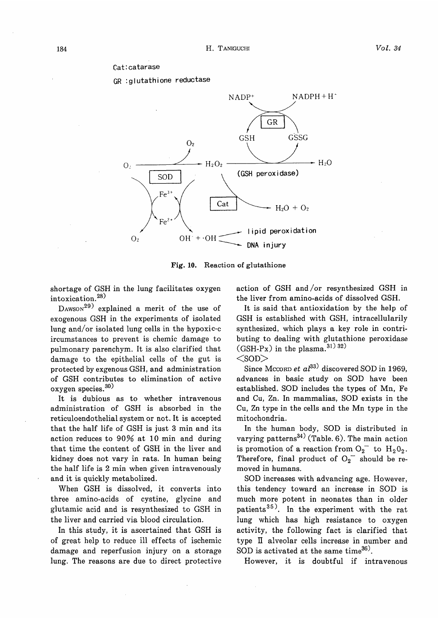#### Cat:catarase

GR :glutathione reductase



Fig. 10. Reaction of glutathione

shortage of GSH in the lung facilitates oxygen intoxication. 28)

 $DAWSON<sup>29</sup>$  explained a merit of the use of exogenous GSH in the experiments of isolated lung and/or isolated lung cells in the hypoxic-c ircumstances to prevent is chemic damage to pulmonary parenchym. It is also clarified that damage to the epithelial cells of the gut is protected by exgenous GSH, and administration of GSH contributes to elimination of active oxygen species. 30)

It is dubious as to whether intravenous administration of GSH is absorbed in the reticuloendothelial system or not. It is accepted that the half life of GSH is just 3 min and its action reduces to 90% at 10 min and during that time the content of GSH in the liver and kidney does not vary in rats. In human being the half life is 2 min when given intravenously and it is quickly metabolized.

When GSH is dissolved, it converts into three amino-acids of cystine, glycine and glutamic acid and is resynthesized to GSH in the liver and carried via blood circulation.

In this study, it is ascertained that GSH is of great help to reduce ill effects of ischemic damage and reperfusion injury on a storage lung. The reasons are due to direct protective

action of GSH and/or resynthesized GSH in the liver from amino-acids of dissolved GSH.

It is said that antioxidation by the help of GSH is established with GSH, intracellularily synthesized, which plays a key role in contributing to dealing with glutathione peroxidase (GSH-Px) in the plasma.  $31)$   $32)$ 

 $<$ SOD $>$ 

Since Mccorp et  $al^{33}$  discovered SOD in 1969, advances in basic study on SOD have been established. SOD includes the types of Mn, Fe and Cu, Zn. In mammalias, SOD exists in the Cu, Zn type in the cells and the Mn type in the mitochondria.

In the human body, SOD is distributed in varying patterns<sup>34)</sup> (Table. 6). The main action is promotion of a reaction from  $O_2^-$  to  $H_2O_2$ . Therefore, final product of  $O_2$ <sup>-</sup> should be removed in humans.

SOD increases with advancing age. However, this tendency toward an increase in SOD is much more potent in neonates than in older patients<sup>35)</sup>. In the experiment with the rat lung which has high resistance to oxygen activity, the following fact is clarified that type II alveolar cells increase in number and SOD is activated at the same time $36$ .

However, it is doubtful if intravenous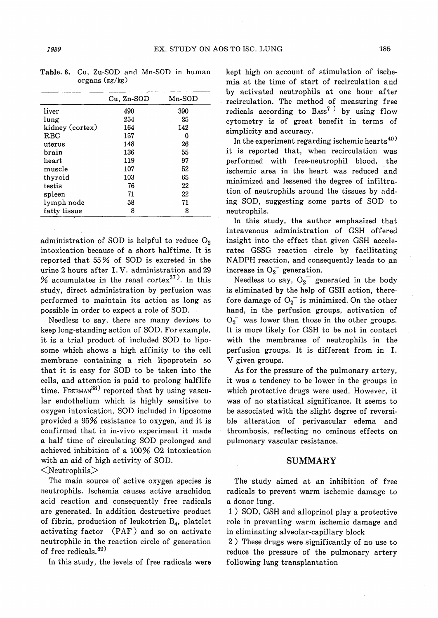| $Cu, Zn-SOD$ | $Mn-SOD$ |
|--------------|----------|
| 490          | 390      |
| 254          | 25       |
| 164          | 142      |
| 157          | 0        |
| 148          | 26       |
| 136          | 55       |
| 119          | 97       |
| 107          | 52       |
| 103          | 65       |
| 76           | 22       |
| 71           | 22       |
| 58           | 71       |
| 8            | 3        |
|              |          |

Table. 6. Cu, Zu-SOD and Mn-SOD in human organs (mg/kg)

administration of SOD is helpful to reduce  $O_2$ intoxication because of a short half time. It is reported that 55 % of SOD is excreted in the urine 2 hours after I. V. administration and 29 % accumulates in the renal cortex<sup>37)</sup>. In this study, direct administration by perfusion was performed to maintain its action as long as possible in order to expect a role of SOD.

Needless to say, there are many devices to keep long-standing action of SOD. For example, it is a trial product of included SOD to liposome which shows a high affinity to the cell membrane containing a rich lipoprotein so that it is easy for SOD to be taken into the cells, and attention is paid to prolong halflife time.  $F_{REEMAN}^{38}$  reported that by using vascular endothelium which is highly sensitive to oxygen intoxication, SOD included in liposome provided a 95% resistance to oxygen, and it is confirmed that in in-vivo experiment it made a half time of circulating SOD prolonged and achieved inhibition of a 100% 02 intoxication with an aid of high activity of SOD.

 $<$ Neutrophils $>$ 

The main source of active oxygen species is neutrophils. Ischemia causes active arachidon acid reaction and consequently free radicals are generated. In addition destructive product of fibrin, production of leukotrien  $B_4$ , platelet activating factor (PAF) and so on activate neutrophile in the reaction circle of generation of free redicals.<sup>39)</sup>

In this study, the levels of free radicals were

kept high on account of stimulation of ischemia at the time of start of recirculation and by activated neutrophils at one hour after recirculation. The method of measuring free redicals according to  $B_{\text{ASS}}^7$ <sup>)</sup> by using flow cytometry is of great benefit in terms of simplicity and accuracy.

In the experiment regarding ischemic hearts<sup>40)</sup> it is reported that, when recirculation was performed with free-neutrophil blood, the ischemic area in the heart was reduced and minimized and lessened the degree of infiltration of neutrophils around the tissues by adding SOD, suggesting some parts of SOD to neutrophils.

In this study, the author emphasized that intravenous administration of GSH offered insight into the effect that given GSH accelerates GSSG reaction circle by facilitating NADPH reaction, and consequently leads to an increase in  $O_2^-$  generation.

Needless to say,  $O_2$ <sup>-</sup> generated in the body is eliminated by the help of GSH action, therefore damage of  $O_2$  is minimized. On the other hand, in the perfusion groups, activation of  $O_2$ <sup>-</sup> was lower than those in the other groups. It is more likely for GSH to be not in contact with the membranes of neutrophils in the perfusion groups. It is different from in I. V given groups.

As for the pressure of the pulmonary artery, it was a tendency to be lower in the groups in which protective drugs were used. However, it was of no statistical significance. It seems to be associated with the slight degree of reversible alteration of perivascular edema and thrombosis, reflecting no ominous effects on pulmonary vascular resistance.

#### SUMMARY

The study aimed at an inhibition of free radicals to prevent warm ischemic damage to a donor lung.

1) SOD, GSH and alloprinol play a protective role in preventing warm ischemic damage and in eliminating alveolar-capillary block

2) These drugs were significantly of no use to reduce the pressure of the pulmonary artery following lung transplantation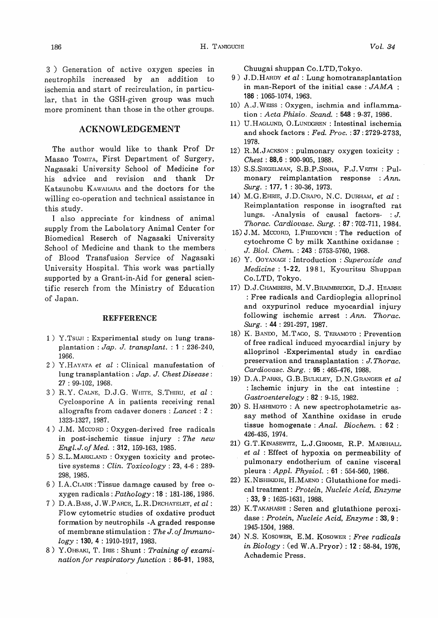3 ) Generation of active oxygen species in neutrophils increased by an addition to ischemia and start of recirculation, in particular, that in the GSH-given group was much more prominent than those in the other groups.

## ACKNOWLEDGEMENT

The author would like to thank Prof Dr Masao ToMYFA, First Department of Surgery, Nagasaki University School of Medicine for his advice and revision and thank Dr Katsunobu KAWAHARA and the doctors for the willing co-operation and technical assistance in this study.

I also appreciate for kindness of animal supply from the Labolatory Animal Center for Biomedical Reserch of Nagasaki University School of Medicine and thank to the members of Blood Transfusion Service of Nagasaki University Hospital. This work was partially supported by a Grant-in-Aid for general scientific reserch from the Ministry of Education of Japan.

#### **REFFERENCE**

- 1) Y.TsuJI : Experimental study on lung transplantation : Jap. J. transplant. : 1 : 236-240, 1966.
- 2) Y.HAYATA et al : Clinical manufestation of lung transplantation : Jap. J. Chest Disease : 27 : 99-102, 1968.
- 3) R.Y. CALNE, D.J.G. WHITE, S.THIRU, et al : Cyclosporine A in patients receiving renal allografts from cadaver doners : Lancet : 2 : 1323-1327, 1987.
- 4) J.M. MCCORD : Oxygen-derived free radicals in post-ischemic tissue injury : The new Engl. J. of Med.: 312, 159-163, 1985.
- 5) S.L.MARKLAND : Oxygen toxicity and protective systems : Clin. Toxicology : 23, 4-6 : 289- 298, 1985.
- 6) I. A. CLARK : Tissue damage caused by free oxygen radicals : Pathology : 18 : 181-186, 1986.
- 7) D.A.BAss, J.W.PARCE, L.R.DECHATELET, et al : Flow cytometric studies of oxdative product formation by neutrophils -A graded response of membrane stimulation : The J. of Immuno $logy$ : 130, 4: 1910-1917, 1983.
- 8) Y.OHSAKI, T. IRIE : Shunt : Training of examination for respiratory function : 86-91, 1983,

Chuugai shuppan Co.LTD,Tokyo.

- 9) J.D.HARDY et al : Lung homotransplantation in man-Report of the initial case :  $JAMA$  : 186 : 1065-1074, 1963.
- 10) A.J.WEIss : Oxygen, ischmia and inflammation : Acta Phisio, Scand. : 548: 9-37, 1986.
- 11) U.HAGLUND, O.LUNDGREN : Intestinal ischemia and shock factors : Fed. Proc.:37: 2729-2733, 1978.
- 12) R.M.JACKSON : pulmonary oxygen toxicity : Chest : 88,6 : 900-905, 1988.
- 13) S.S.SIEGELMAN, S.B.P.SINHA, F.J.VEITH : Pulmonary reimplantation response :  $Ann.$ Surg.: 177, 1: 30-36, 1973.
- 14) M.G.EHRiE, J.D.CRAPO, N.C. DURHAM, et al : Reimplantation response in isografted rat lungs. -Analysis of causal factors- : J. Thorac. Cardiovasc. Surg.: 87: 702-711, 1984.
- 15) J.M. MCCORD, LFRIDovICH : The reduction of cytochrome C by milk Xanthine oxidanse : J. Biol. Chem. : 243 : 5753-5760, 1968.
- 16) Y. OOYANAGI : Introduction : Superoxide and Medicine : 1-22, 1981, Kyouritsu Shuppan Co.LTD, Tokyo.
- 17) D.J.CHAMBERS, M.V.BRAIMBRIDGE, D.J. HEARSE : Free radicals and Cardioplegia alloprinol and oxypurinol reduce myocardial injury following ischemic arrest : Ann. Thorac.  $Surg.$ : 44: 291-297, 1987.
- 18) K. BANDO, M. TAGO, S. TERAMOTO : Prevention of free radical induced myocardial injury by alloprinol -Experimental study in cardiac preservation and transplantation : J. Thorac. Cardiovasc. Surg.: 95:465-476, 1988.
- 19) D.A.PARKS, G.B.BULKLEY, D.N.GRANGER et al : Ischemic injury in the cat intestine :  $Gastroenterelogy: 82: 9-15, 1982.$
- 20) S. HASHIMOTO: A new spectrophotametric assay method of Xanthine oxidase in crude tissue homogenate: Anal. Biochem.: 62: 426-435, 1974.
- 21) G.T.KINASEWITZ, L.J.GROOME, R.P. MARSHALL et al : Effect of hypoxia on permeability of pulmonary endotherium of canine visceral pleura : Appl. Physiol. : 61 : 554-560, 1986.
- 22) К. NISHIKIORI, H. MAENO: Glutathione for medical treatment: Protein, Nucleic Acid, Enzyme  $: 33, 9 : 1625-1631, 1988.$
- 23) K.TAKAHASHI: Seren and glutathione peroxidase: Protein, Nucleic Acid, Enzyme: 33, 9: 1945-1504, 1988.
- 24) N.S. KOSOWER, E.M. KOSOWER : Free radicals in Biology: (ed W.A.Pryor): 12: 58-84, 1976, Achademic Press.